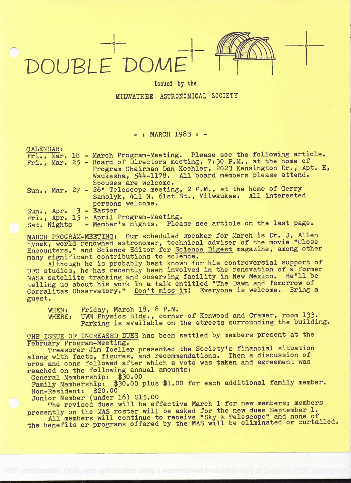## DOUBLE DOME' THEER



**o** <u>the contract of the contract of the contract of the contract of the contract of the contract of the contract of the contract of the contract of the contract of the contract of the contract of the contract of the contr</u>

## Issued by the MILWAUKEE ASTRONOMICAL SOCIETY

## $-$  : MARCH 1983 :  $-$

| CALENDAR:               |                                                                          |
|-------------------------|--------------------------------------------------------------------------|
|                         | Fri., Mar. 18 - March Program-Meeting. Please see the following article. |
|                         | Fri., Mar. 25 - Board of Directors meeting, 7:30 P.M., at the home of    |
|                         | Program Chairman Dan Koehler, 2023 Kensington Dr., Apt. E,               |
|                         | Waukesha, 544-1178. All board members please attend.                     |
|                         | Spouses are welcome.                                                     |
|                         | Sun., Mar. 27 - 26" Telescope meeting, 2 P.M., at the home of Gerry      |
|                         | Samolyk, 411 N. 61st St., Milwaukee. All interested                      |
|                         | persons welcome.                                                         |
| Sun., Apr. $3 - Easter$ |                                                                          |
|                         | Fri., Apr. 15 - April Program-Meeting.                                   |
|                         | Sat. Nights - Member's nights. Please see article on the last page.      |
|                         |                                                                          |

MARCH PROGRAM-MEETING: Our scheduled speaker for March is Dr. J. Allen Hynek, world renowned astronomer, technical adviser of the movie "Close Encounters," and Science Editor for Science Digest magazine, among other many significant contributions to science.

Although he is probably best known for his controversial support of UFO studies, he has recently been involved in the renovation of a former NASA satellite tracking and observing facility in New Mexico. He'll be telling us about his work in a talk entitled "The Dawn and Tomorrow of Corralitas Observatory." Don't miss it! Everyone is welcome. Bring a guest.

WHEN: Friday, March 18, 8 P.M.<br>WHERE: UWM Physics Bldg., corne

UWM Physics Bldg., corner of Kenwood and Cramer, room 133. Parking is available on the streets surrounding the building.

THE ISSUE OF INCREASED DUES has been settled by members present at the February Program-Meeting.

Treasurer Jim Toeller presented the Society's financial situation along with facts, figures, and recommendations. Then a discussion of pros and cons followed after which a vote was taken and agreement was reached on the following annual amounts:

General Membership: \$30.00

Family Membership: \$30.00 plus \$1.00 for each additional family member.<br>Non-Resident: \$20.00 Non-Resident:

Junior Member (under 16) \$15.00

The revised dues will be effective March 1 for new members; members presently on the MAS roster will be asked for the new dues September 1.

All members will continue to receive "Sky & Telescope" and none of the benefits or programs offered by the MAS will be eliminated or curtailed.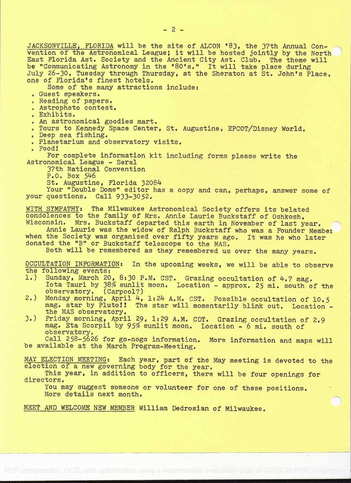JACKSONVILLE, FLORIDA will be the site of ALCON '83, the 37th Annual Convention of the Astronomical League; it will be hosted jointly by the North East Florida Ast. Society and the Ancient City Ast. Club. The theme will. be "Communicating Astronomy in the '80's." It will take place during July 26-30, Tuesday through Thursday, at the Sheraton at St. John's Place, one of Florida's finest hotels.

Some of the many attractions include:

- . Guest speakers.
- . Reading of papers.
- . Astrophoto contest.
- . Exhibits.
- . An astronomical goodies mart.
- . Tours to Kennedy Space Center, St. Augustine, EPCOT/Disney World.
- . Deep sea fishing.
- . Planetarium and observatory visits.
- . Food!

For complete information kit including forms please write the Astronomical League - Serai

37th National Convention

 $P.0.$  Box 546

St. Augustine, Florida 32084

Your "Double Dome" editor has a copy and can, perhaps, answer some of your questions. Call 933-3052.

WITH SYMPATHY: The Milwaukee Astronomical Society offers its belated condolences to the family of Mrs. Annie Laurie Buckstaff of Oshkosh, Wisconsin. Mrs. Buckstaff departed this earth in November of last year.

Annie Laurie was the widow of Ralph Buckstaff who was a Founder Member<br>the Society was organized over fifty years ago. It was he who later when the Society was organized over fifty years ago. donated the "B" or Buckstaff telescope to the MAS.

Both will be remembered as they remembered us over the many years.

OCCULTATION INFORMATION: In the upcoming weeks, we will be able to observe the following events:

- 1.) Sunday, March 20, 8:30 P.M. CST. Grazing occultation of 4.7 mag. Iota Tauri by 38% sunlit moon. Location - approx. 25 mi. south of the observatory. (Carpool?)
- 2.) Monday morning, April 4, 1:24 A.M. CST. Possible occultation of 10.5 mag. star by Pluto!! The star will momentarily blink out. Location the MAS observatory.
- 3.) Friday morning, April 29, 1:29 A.M. CDT. Grazing occultation of 2.9 mag. Eta Scorpii by 95% sunlit moon. Location - 6 mi. south of observatory.

Call 258-5626 for go-nogo information. More information and maps will be available at the March Program-Meeting.

MAY ELECTION MEETING: Each year, part of the May meeting is devoted to the election of a new governing body for the year.

This year, in addition to officers, there will be four openings for directors.

You may suggest someone or volunteer for one of these positions. More details next month.

MEET AND WELCOME NEW MEMBER William Dedrosian of Milwaukee.